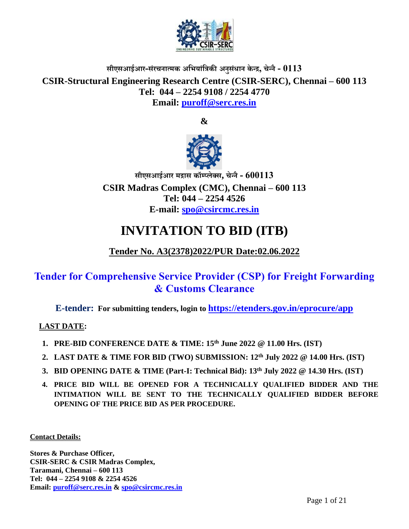

## **सीएसआईआर-संरचनात्मक अभियांभिकी अनुसंधान के न्द्र, चेन्द्नै- 0113 CSIR-Structural Engineering Research Centre (CSIR-SERC), Chennai – 600 113 Tel: 044 – 2254 9108 / 2254 4770 Email: [puroff@serc.res.in](mailto:puroff@serc.res.in)**

**&**



**सीएसआईआर मरास कॉम्प्लेक्स, चेन्द्नै- 600113 CSIR Madras Complex (CMC), Chennai – 600 113 Tel: 044 – 2254 4526 E-mail: [spo@csircmc.res.in](mailto:spo@csircmc.res.in)**

# **INVITATION TO BID (ITB)**

## **Tender No. A3(2378)2022/PUR Date:02.06.2022**

## **Tender for Comprehensive Service Provider (CSP) for Freight Forwarding & Customs Clearance**

**E-tender: For submitting tenders, login to <https://etenders.gov.in/eprocure/app>**

### **LAST DATE:**

- **1. PRE-BID CONFERENCE DATE & TIME: 15th June 2022 @ 11.00 Hrs. (IST)**
- **2. LAST DATE & TIME FOR BID (TWO) SUBMISSION: 12th July 2022 @ 14.00 Hrs. (IST)**
- **3. BID OPENING DATE & TIME (Part-I: Technical Bid): 13th July 2022 @ 14.30 Hrs. (IST)**
- **4. PRICE BID WILL BE OPENED FOR A TECHNICALLY QUALIFIED BIDDER AND THE INTIMATION WILL BE SENT TO THE TECHNICALLY QUALIFIED BIDDER BEFORE OPENING OF THE PRICE BID AS PER PROCEDURE.**

**Contact Details:**

**Stores & Purchase Officer, CSIR-SERC & CSIR Madras Complex, Taramani, Chennai – 600 113 Tel: 044 – 2254 9108 & 2254 4526 Email: [puroff@serc.res.in](mailto:puroff@serc.res.in) & [spo@csircmc.res.in](mailto:spo@csircmc.res.in)**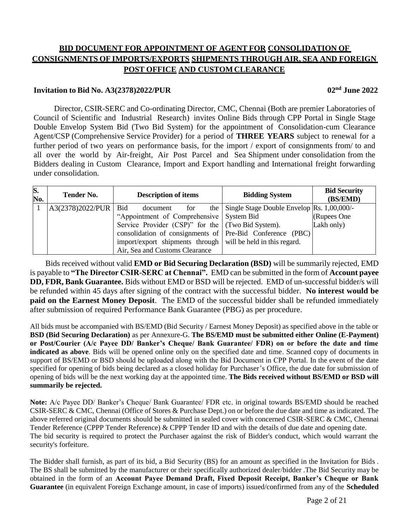#### **BID DOCUMENT FOR APPOINTMENT OF AGENT FOR CONSOLIDATION OF CONSIGNMENTS OF IMPORTS/EXPORTS SHIPMENTS THROUGH AIR, SEA AND FOREIGN POST OFFICE AND CUSTOMCLEARANCE**

#### **Invitation to Bid No. A3(2378)2022/PUR**

**nd June 2022**

Director, CSIR-SERC and Co-ordinating Director, CMC, Chennai (Both are premier Laboratories of Council of Scientific and Industrial Research) invites Online Bids through CPP Portal in Single Stage Double Envelop System Bid (Two Bid System) for the appointment of Consolidation-cum Clearance Agent/CSP (Comprehensive Service Provider) for a period of **THREE YEARS** subject to renewal for a further period of two years on performance basis, for the import / export of consignments from/ to and all over the world by Air-freight, Air Post Parcel and Sea Shipment under consolidation from the Bidders dealing in Custom Clearance, Import and Export handling and International freight forwarding under consolidation.

| S.<br>No. | <b>Tender No.</b>      | <b>Description of items</b>                                  | <b>Bidding System</b>                                  | <b>Bid Security</b><br>(BS/EMD) |
|-----------|------------------------|--------------------------------------------------------------|--------------------------------------------------------|---------------------------------|
|           | $A3(2378)2022/PUR$ Bid | for<br>document                                              | the $\vert$ Single Stage Double Envelop Rs. 1,00,000/- |                                 |
|           |                        | "Appointment of Comprehensive System Bid"                    |                                                        | (Rupees One                     |
|           |                        | Service Provider (CSP)" for the $\vert$ (Two Bid System).    |                                                        | Lakh only)                      |
|           |                        | consolidation of consignments of Pre-Bid Conference (PBC)    |                                                        |                                 |
|           |                        | import/export shipments through will be held in this regard. |                                                        |                                 |
|           |                        | Air, Sea and Customs Clearance                               |                                                        |                                 |

 Bids received without valid **EMD or Bid Securing Declaration (BSD)** will be summarily rejected, EMD is payable to **"The Director CSIR-SERC at Chennai".** EMD can be submitted in the form of **Account payee DD, FDR, Bank Guarantee.** Bids without EMD or BSD will be rejected. EMD of un-successful bidder/s will be refunded within 45 days after signing of the contract with the successful bidder. **No interest would be paid on the Earnest Money Deposit**. The EMD of the successful bidder shall be refunded immediately after submission of required Performance Bank Guarantee (PBG) as per procedure.

All bids must be accompanied with BS/EMD (Bid Security / Earnest Money Deposit) as specified above in the table or **BSD (Bid Securing Declaration)** as per Annexure-G. **The BS/EMD must be submitted either Online (E-Payment) or Post/Courier (A/c Payee DD/ Banker's Cheque/ Bank Guarantee/ FDR) on or before the date and time indicated as above**. Bids will be opened online only on the specified date and time. Scanned copy of documents in support of BS/EMD or BSD should be uploaded along with the Bid Document in CPP Portal. In the event of the date specified for opening of bids being declared as a closed holiday for Purchaser's Office, the due date for submission of opening of bids will be the next working day at the appointed time. **The Bids received without BS/EMD or BSD will summarily be rejected.** 

**Note:** A/c Payee DD/ Banker's Cheque/ Bank Guarantee/ FDR etc. in original towards BS/EMD should be reached CSIR-SERC & CMC, Chennai (Office of Stores & Purchase Dept.) on or before the due date and time as indicated. The above referred original documents should be submitted in sealed cover with concerned CSIR-SERC & CMC, Chennai Tender Reference (CPPP Tender Reference) & CPPP Tender ID and with the details of due date and opening date. The bid security is required to protect the Purchaser against the risk of Bidder's conduct, which would warrant the security's forfeiture.

The Bidder shall furnish, as part of its bid, a Bid Security (BS) for an amount as specified in the Invitation for Bids . The BS shall be submitted by the manufacturer or their specifically authorized dealer/bidder .The Bid Security may be obtained in the form of an **Account Payee Demand Draft, Fixed Deposit Receipt, Banker's Cheque or Bank Guarantee** (in equivalent Foreign Exchange amount, in case of imports) issued/confirmed from any of the **Scheduled**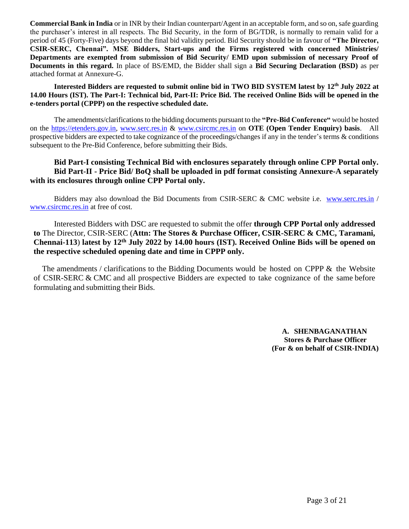**Commercial Bank in India** or in INR by their Indian counterpart/Agent in an acceptable form, and so on, safe guarding the purchaser's interest in all respects. The Bid Security, in the form of BG/TDR, is normally to remain valid for a period of 45 (Forty-Five) days beyond the final bid validity period. Bid Security should be in favour of **"The Director, CSIR-SERC, Chennai". MSE Bidders, Start-ups and the Firms registered with concerned Ministries/ Departments are exempted from submission of Bid Security/ EMD upon submission of necessary Proof of Documents in this regard.** In place of BS/EMD, the Bidder shall sign a **Bid Securing Declaration (BSD)** as per attached format at Annexure-G.

**Interested Bidders are requested to submit online bid in TWO BID SYSTEM latest by 12th July 2022 at 14.00 Hours (IST). The Part-I: Technical bid, Part-II: Price Bid. The received Online Bids will be opened in the e-tenders portal (CPPP) on the respective scheduled date.** 

The amendments/clarifications to the bidding documents pursuant to the **"Pre-Bid Conference"** would be hosted on the [https://etenders.gov.in,](https://etenders.gov.in/eprocure/app) [www.serc.res.in](http://www.serc.res.in/) & [www.csircmc.res.in](http://www.csircmc.res.in/) on **OTE (Open Tender Enquiry) basis**. All prospective bidders are expected to take cognizance of the proceedings/changes if any in the tender's terms & conditions subsequent to the Pre-Bid Conference, before submitting their Bids.

#### **Bid Part-I consisting Technical Bid with enclosures separately through online CPP Portal only. Bid Part-II - Price Bid/ BoQ shall be uploaded in pdf format consisting Annexure-A separately with its enclosures through online CPP Portal only.**

Bidders may also download the Bid Documents from CSIR-SERC & CMC website i.e. [www.serc.res.in](http://www.serc.res.in/) / [www.csircmc.res.in](http://www.csircmc.res.in/) at free of cost.

Interested Bidders with DSC are requested to submit the offer **through CPP Portal only addressed to** The Director, CSIR-SERC (**Attn: The Stores & Purchase Officer, CSIR-SERC & CMC, Taramani, Chennai-113**) **latest by 12th July 2022 by 14.00 hours (IST). Received Online Bids will be opened on the respective scheduled opening date and time in CPPP only.**

The amendments / clarifications to the Bidding Documents would be hosted on CPPP  $\&$  the Website of CSIR-SERC & CMC and all prospective Bidders are expected to take cognizance of the same before formulating and submitting their Bids.

> **A. SHENBAGANATHAN Stores & Purchase Officer (For & on behalf of CSIR-INDIA)**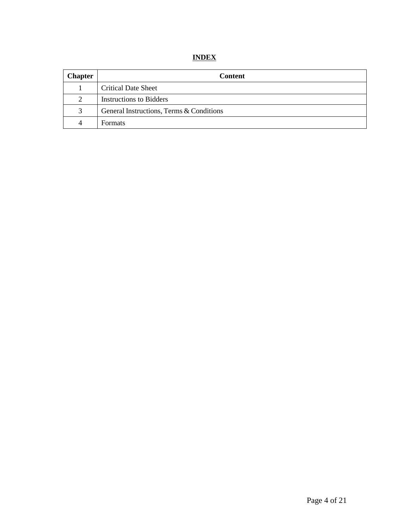| <b>Chapter</b> | <b>Content</b>                           |  |  |  |
|----------------|------------------------------------------|--|--|--|
|                | Critical Date Sheet                      |  |  |  |
| 2              | <b>Instructions to Bidders</b>           |  |  |  |
| 3              | General Instructions, Terms & Conditions |  |  |  |
| 4              | <b>Formats</b>                           |  |  |  |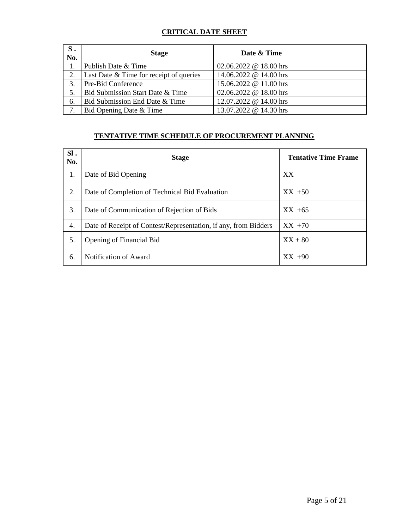#### **CRITICAL DATE SHEET**

| S.<br>No. | <b>Stage</b>                            | Date & Time            |
|-----------|-----------------------------------------|------------------------|
|           | Publish Date & Time                     | 02.06.2022 @ 18.00 hrs |
| 2.        | Last Date & Time for receipt of queries | 14.06.2022 @ 14.00 hrs |
| 3.        | Pre-Bid Conference                      | 15.06.2022 @ 11.00 hrs |
|           | Bid Submission Start Date & Time        | 02.06.2022 @ 18.00 hrs |
| 6.        | Bid Submission End Date & Time          | 12.07.2022 @ 14.00 hrs |
| 7.        | Bid Opening Date & Time                 | 13.07.2022 @ 14.30 hrs |

#### **TENTATIVE TIME SCHEDULE OF PROCUREMENT PLANNING**

| SI.<br>No. | <b>Stage</b>                                                    | <b>Tentative Time Frame</b> |
|------------|-----------------------------------------------------------------|-----------------------------|
| 1.         | Date of Bid Opening                                             | XX                          |
| 2.         | Date of Completion of Technical Bid Evaluation                  | $XX +50$                    |
| 3.         | Date of Communication of Rejection of Bids                      | $XX +65$                    |
| 4.         | Date of Receipt of Contest/Representation, if any, from Bidders | $XX +70$                    |
| 5.         | Opening of Financial Bid                                        | $XX + 80$                   |
| 6.         | Notification of Award                                           | $XX +90$                    |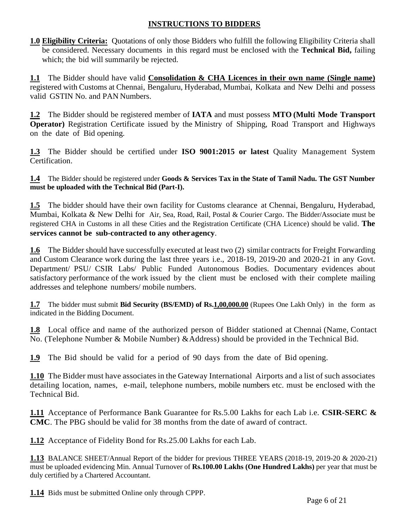#### **INSTRUCTIONS TO BIDDERS**

**1.0 Eligibility Criteria:** Quotations of only those Bidders who fulfill the following Eligibility Criteria shall be considered. Necessary documents in this regard must be enclosed with the **Technical Bid,** failing which; the bid will summarily be rejected.

**1.1** The Bidder should have valid **Consolidation & CHA Licences in their own name (Single name)** registered with Customs at Chennai, Bengaluru, Hyderabad, Mumbai, Kolkata and New Delhi and possess valid GSTIN No. and PAN Numbers.

**1.2** The Bidder should be registered member of **IATA** and must possess **MTO (Multi Mode Transport Operator)** Registration Certificate issued by the Ministry of Shipping, Road Transport and Highways on the date of Bid opening.

**1.3** The Bidder should be certified under **ISO 9001:2015 or latest** Quality Management System Certification.

**1.4** The Bidder should be registered under **Goods & Services Tax in the State of Tamil Nadu. The GST Number must be uploaded with the Technical Bid (Part-I).**

**1.5** The bidder should have their own facility for Customs clearance at Chennai, Bengaluru, Hyderabad, Mumbai, Kolkata & New Delhi for Air, Sea, Road, Rail, Postal & Courier Cargo. The Bidder/Associate must be registered CHA in Customs in all these Cities and the Registration Certificate (CHA Licence) should be valid. **The services cannot be sub-contracted to any otheragency**.

**1.6** The Bidder should have successfully executed at least two (2) similar contracts for Freight Forwarding and Custom Clearance work during the last three years i.e., 2018-19, 2019-20 and 2020-21 in any Govt. Department/ PSU/ CSIR Labs/ Public Funded Autonomous Bodies. Documentary evidences about satisfactory performance of the work issued by the client must be enclosed with their complete mailing addresses and telephone numbers/ mobile numbers.

**1.7** The bidder must submit **Bid Security (BS/EMD) of Rs.1,00,000.00** (Rupees One Lakh Only) in the form as indicated in the Bidding Document.

**1.8** Local office and name of the authorized person of Bidder stationed at Chennai (Name, Contact No. (Telephone Number & Mobile Number) & Address) should be provided in the Technical Bid.

**1.9** The Bid should be valid for a period of 90 days from the date of Bid opening.

**1.10** The Bidder must have associates in the Gateway International Airports and a list of such associates detailing location, names, e-mail, telephone numbers, mobile numbers etc. must be enclosed with the Technical Bid.

**1.11** Acceptance of Performance Bank Guarantee for Rs.5.00 Lakhs for each Lab i.e. **CSIR-SERC & CMC**. The PBG should be valid for 38 months from the date of award of contract.

**1.12** Acceptance of Fidelity Bond for Rs.25.00 Lakhs for each Lab.

**1.13** BALANCE SHEET/Annual Report of the bidder for previous THREE YEARS (2018-19, 2019-20 & 2020-21) must be uploaded evidencing Min. Annual Turnover of **Rs.100.00 Lakhs (One Hundred Lakhs)** per year that must be duly certified by a Chartered Accountant.

**1.14** Bids must be submitted Online only through CPPP.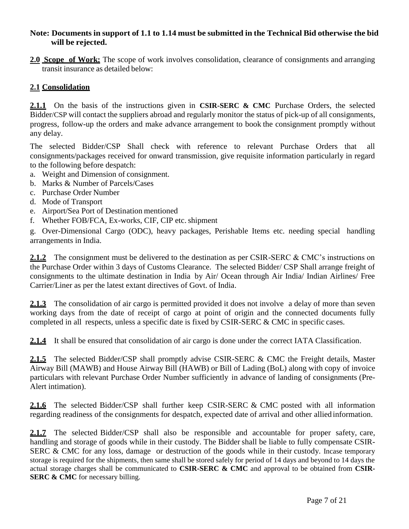#### **Note: Documents in support of 1.1 to 1.14 must be submitted in the Technical Bid otherwise the bid will be rejected.**

**2.0 Scope of Work:** The scope of work involves consolidation, clearance of consignments and arranging transit insurance as detailed below:

#### **2.1 Consolidation**

2.1.1 On the basis of the instructions given in **CSIR-SERC & CMC** Purchase Orders, the selected Bidder/CSP will contact the suppliers abroad and regularly monitor the status of pick-up of all consignments, progress, follow-up the orders and make advance arrangement to book the consignment promptly without any delay.

The selected Bidder/CSP Shall check with reference to relevant Purchase Orders that all consignments/packages received for onward transmission, give requisite information particularly in regard to the following before despatch:

- a. Weight and Dimension of consignment.
- b. Marks & Number of Parcels/Cases
- c. Purchase Order Number
- d. Mode of Transport
- e. Airport/Sea Port of Destination mentioned
- f. Whether FOB/FCA, Ex-works, CIF, CIP etc. shipment

g. Over-Dimensional Cargo (ODC), heavy packages, Perishable Items etc. needing special handling arrangements in India.

2.1.2 The consignment must be delivered to the destination as per CSIR-SERC & CMC's instructions on the Purchase Order within 3 days of Customs Clearance. The selected Bidder/ CSP Shall arrange freight of consignments to the ultimate destination in India by Air/ Ocean through Air India/ Indian Airlines/ Free Carrier/Liner as per the latest extant directives of Govt. of India.

2.1.3 The consolidation of air cargo is permitted provided it does not involve a delay of more than seven working days from the date of receipt of cargo at point of origin and the connected documents fully completed in all respects, unless a specific date is fixed by CSIR-SERC & CMC in specific cases.

**2.1.4** It shall be ensured that consolidation of air cargo is done under the correct IATA Classification.

2.1.5 The selected Bidder/CSP shall promptly advise CSIR-SERC & CMC the Freight details, Master Airway Bill (MAWB) and House Airway Bill (HAWB) or Bill of Lading (BoL) along with copy of invoice particulars with relevant Purchase Order Number sufficiently in advance of landing of consignments (Pre-Alert intimation).

2.1.6 The selected Bidder/CSP shall further keep CSIR-SERC & CMC posted with all information regarding readiness of the consignments for despatch, expected date of arrival and other allied information.

2.1.7 The selected Bidder/CSP shall also be responsible and accountable for proper safety, care, handling and storage of goods while in their custody. The Bidder shall be liable to fully compensate CSIR-SERC & CMC for any loss, damage or destruction of the goods while in their custody. Incase temporary storage is required for the shipments, then same shall be stored safely for period of 14 days and beyond to 14 days the actual storage charges shall be communicated to **CSIR-SERC & CMC** and approval to be obtained from **CSIR-SERC & CMC** for necessary billing.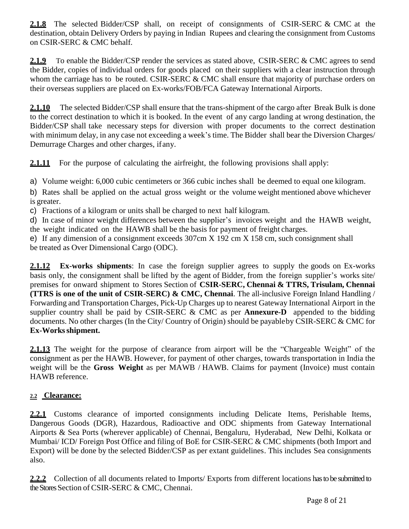**2.1.8** The selected Bidder/CSP shall, on receipt of consignments of CSIR-SERC & CMC at the destination, obtain Delivery Orders by paying in Indian Rupees and clearing the consignment from Customs on CSIR-SERC & CMC behalf.

2.1.9 To enable the Bidder/CSP render the services as stated above, CSIR-SERC & CMC agrees to send the Bidder, copies of individual orders for goods placed on their suppliers with a clear instruction through whom the carriage has to be routed. CSIR-SERC & CMC shall ensure that majority of purchase orders on their overseas suppliers are placed on Ex-works/FOB/FCA Gateway International Airports.

**2.1.10** The selected Bidder/CSP shall ensure that the trans-shipment of the cargo after Break Bulk is done to the correct destination to which it is booked. In the event of any cargo landing at wrong destination, the Bidder/CSP shall take necessary steps for diversion with proper documents to the correct destination with minimum delay, in any case not exceeding a week's time. The Bidder shall bear the Diversion Charges/ Demurrage Charges and other charges, ifany.

**2.1.11** For the purpose of calculating the airfreight, the following provisions shall apply:

a) Volume weight: 6,000 cubic centimeters or 366 cubic inches shall be deemed to equal one kilogram.

b) Rates shall be applied on the actual gross weight or the volume weight mentioned above whichever is greater.

c) Fractions of a kilogram or units shall be charged to next half kilogram.

d) In case of minor weight differences between the supplier's invoices weight and the HAWB weight, the weight indicated on the HAWB shall be the basis for payment of freight charges.

e) If any dimension of a consignment exceeds 307cm X 192 cm X 158 cm, such consignment shall be treated as Over Dimensional Cargo (ODC).

**2.1.12 Ex-works shipments**: In case the foreign supplier agrees to supply the goods on Ex-works basis only, the consignment shall be lifted by the agent of Bidder, from the foreign supplier's works site/ premises for onward shipment to Stores Section of **CSIR-SERC, Chennai & TTRS, Trisulam, Chennai (TTRS is one of the unit of CSIR-SERC) & CMC, Chennai**. The all-inclusive Foreign Inland Handling / Forwarding and Transportation Charges, Pick-Up Charges up to nearest Gateway International Airport in the supplier country shall be paid by CSIR-SERC & CMC as per **Annexure-D** appended to the bidding documents. No other charges (In the City/ Country of Origin) should be payableby CSIR-SERC & CMC for **Ex-Works shipment.**

2.1.13 The weight for the purpose of clearance from airport will be the "Chargeable Weight" of the consignment as per the HAWB. However, for payment of other charges, towards transportation in India the weight will be the **Gross Weight** as per MAWB / HAWB. Claims for payment (Invoice) must contain HAWB reference.

#### **2.2 Clearance:**

**2.2.1** Customs clearance of imported consignments including Delicate Items, Perishable Items, Dangerous Goods (DGR), Hazardous, Radioactive and ODC shipments from Gateway International Airports & Sea Ports (wherever applicable) of Chennai, Bengaluru, Hyderabad, New Delhi, Kolkata or Mumbai/ ICD/ Foreign Post Office and filing of BoE for CSIR-SERC & CMC shipments (both Import and Export) will be done by the selected Bidder/CSP as per extant guidelines. This includes Sea consignments also.

**2.2.2** Collection of all documents related to Imports/ Exports from different locations has to be submitted to the Stores Section of CSIR-SERC & CMC, Chennai.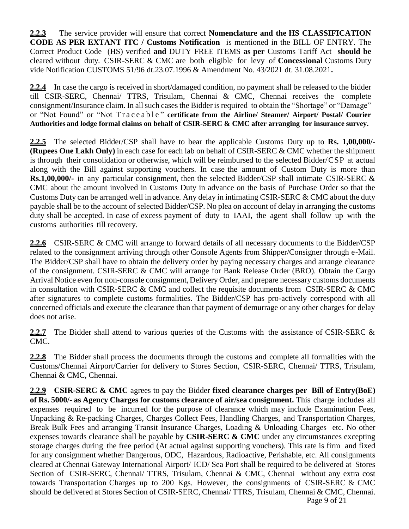**2.2.3** The service provider will ensure that correct **Nomenclature and the HS CLASSIFICATION CODE AS PER EXTANT ITC / Customs Notification** is mentioned in the BILL OF ENTRY. The Correct Product Code (HS) verified **and** DUTY FREE ITEMS **as per** Customs Tariff Act **should be**  cleared without duty. CSIR-SERC & CMC are both eligible for levy of **Concessional** Customs Duty vide Notification CUSTOMS 51/96 dt.23.07.1996 & Amendment No. 43/2021 dt. 31.08.2021**.** 

**2.2.4** In case the cargo is received in short/damaged condition, no payment shall be released to the bidder till CSIR-SERC, Chennai/ TTRS, Trisulam, Chennai & CMC, Chennai receives the complete consignment/Insurance claim. In all such cases the Bidder is required to obtain the "Shortage" or "Damage" or "Not Found" or "Not Traceable" certificate from the Airline/ Steamer/ Airport/ Postal/ Courier **Authorities and lodge formal claims on behalf of CSIR-SERC & CMC after arranging for insurance survey.**

**2.2.5** The selected Bidder/CSP shall have to bear the applicable Customs Duty up to **Rs. 1,00,000/- (Rupees One Lakh Only)** in each case for each lab on behalf of CSIR-SERC & CMC whether the shipment is through their consolidation or otherwise, which will be reimbursed to the selected Bidder/CSP at actual along with the Bill against supporting vouchers. In case the amount of Custom Duty is more than **Rs.1,00,000/-** in any particular consignment, then the selected Bidder/CSP shall intimate CSIR-SERC & CMC about the amount involved in Customs Duty in advance on the basis of Purchase Order so that the Customs Duty can be arranged well in advance. Any delay in intimating CSIR-SERC & CMC about the duty payable shall be to the account of selected Bidder/CSP. No plea on account of delay in arranging the customs duty shall be accepted. In case of excess payment of duty to IAAI, the agent shall follow up with the customs authorities till recovery.

2.2.6 CSIR-SERC & CMC will arrange to forward details of all necessary documents to the Bidder/CSP related to the consignment arriving through other Console Agents from Shipper/Consigner through e-Mail. The Bidder/CSP shall have to obtain the delivery order by paying necessary charges and arrange clearance of the consignment. CSIR-SERC & CMC will arrange for Bank Release Order (BRO). Obtain the Cargo Arrival Notice even for non-console consignment, Delivery Order, and prepare necessary customs documents in consultation with CSIR-SERC & CMC and collect the requisite documents from CSIR-SERC & CMC after signatures to complete customs formalities. The Bidder/CSP has pro-actively correspond with all concerned officials and execute the clearance than that payment of demurrage or any other charges for delay does not arise.

2.2.7 The Bidder shall attend to various queries of the Customs with the assistance of CSIR-SERC & CMC.

**2.2.8** The Bidder shall process the documents through the customs and complete all formalities with the Customs/Chennai Airport/Carrier for delivery to Stores Section, CSIR-SERC, Chennai/ TTRS, Trisulam, Chennai & CMC, Chennai.

**2.2.9 CSIR-SERC & CMC** agrees to pay the Bidder **fixed clearance charges per Bill of Entry(BoE) of Rs. 5000/- as Agency Charges for customs clearance of air/sea consignment.** This charge includes all expenses required to be incurred for the purpose of clearance which may include Examination Fees, Unpacking & Re-packing Charges, Charges Collect Fees, Handling Charges, and Transportation Charges, Break Bulk Fees and arranging Transit Insurance Charges, Loading & Unloading Charges etc. No other expenses towards clearance shall be payable by **CSIR-SERC & CMC** under any circumstances excepting storage charges during the free period (At actual against supporting vouchers). This rate is firm and fixed for any consignment whether Dangerous, ODC, Hazardous, Radioactive, Perishable, etc. All consignments cleared at Chennai Gateway International Airport/ ICD/ Sea Port shall be required to be delivered at Stores Section of CSIR-SERC, Chennai/ TTRS, Trisulam, Chennai & CMC, Chennai without any extra cost towards Transportation Charges up to 200 Kgs. However, the consignments of CSIR-SERC & CMC should be delivered at Stores Section of CSIR-SERC, Chennai/ TTRS, Trisulam, Chennai & CMC, Chennai.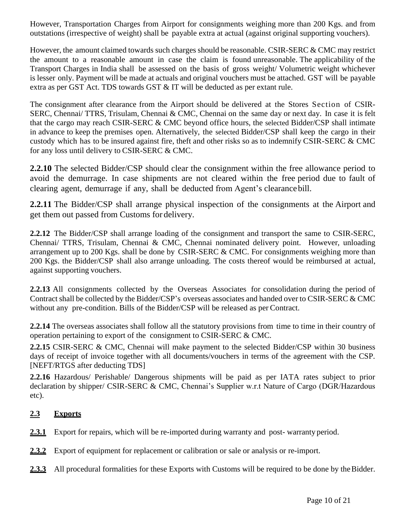However, Transportation Charges from Airport for consignments weighing more than 200 Kgs. and from outstations (irrespective of weight) shall be payable extra at actual (against original supporting vouchers).

However, the amount claimed towards such charges should be reasonable. CSIR-SERC & CMC may restrict the amount to a reasonable amount in case the claim is found unreasonable. The applicability of the Transport Charges in India shall be assessed on the basis of gross weight/ Volumetric weight whichever is lesser only. Payment will be made at actuals and original vouchers must be attached. GST will be payable extra as per GST Act. TDS towards GST & IT will be deducted as per extant rule.

The consignment after clearance from the Airport should be delivered at the Stores Section of CSIR-SERC, Chennai/ TTRS, Trisulam, Chennai & CMC, Chennai on the same day or next day. In case it is felt that the cargo may reach CSIR-SERC & CMC beyond office hours, the selected Bidder/CSP shall intimate in advance to keep the premises open. Alternatively, the selected Bidder/CSP shall keep the cargo in their custody which has to be insured against fire, theft and other risks so as to indemnify CSIR-SERC & CMC for any loss until delivery to CSIR-SERC & CMC.

**2.2.10** The selected Bidder/CSP should clear the consignment within the free allowance period to avoid the demurrage. In case shipments are not cleared within the free period due to fault of clearing agent, demurrage if any, shall be deducted from Agent's clearancebill.

**2.2.11** The Bidder/CSP shall arrange physical inspection of the consignments at the Airport and get them out passed from Customs for delivery.

**2.2.12** The Bidder/CSP shall arrange loading of the consignment and transport the same to CSIR-SERC, Chennai/ TTRS, Trisulam, Chennai & CMC, Chennai nominated delivery point. However, unloading arrangement up to 200 Kgs. shall be done by CSIR-SERC  $&$  CMC. For consignments weighing more than 200 Kgs. the Bidder/CSP shall also arrange unloading. The costs thereof would be reimbursed at actual, against supporting vouchers.

**2.2.13** All consignments collected by the Overseas Associates for consolidation during the period of Contract shall be collected by the Bidder/CSP's overseas associates and handed over to CSIR-SERC & CMC without any pre-condition. Bills of the Bidder/CSP will be released as per Contract.

**2.2.14** The overseas associates shall follow all the statutory provisions from time to time in their country of operation pertaining to export of the consignment to CSIR-SERC & CMC.

**2.2.15** CSIR-SERC & CMC, Chennai will make payment to the selected Bidder/CSP within 30 business days of receipt of invoice together with all documents/vouchers in terms of the agreement with the CSP. [NEFT/RTGS after deducting TDS]

**2.2.16** Hazardous/ Perishable/ Dangerous shipments will be paid as per IATA rates subject to prior declaration by shipper/ CSIR-SERC & CMC, Chennai's Supplier w.r.t Nature of Cargo (DGR/Hazardous etc).

#### **2.3 Exports**

- 2.3.1 Export for repairs, which will be re-imported during warranty and post-warranty period.
- **2.3.2** Export of equipment for replacement or calibration or sale or analysis or re-import.
- 2.3.3 All procedural formalities for these Exports with Customs will be required to be done by the Bidder.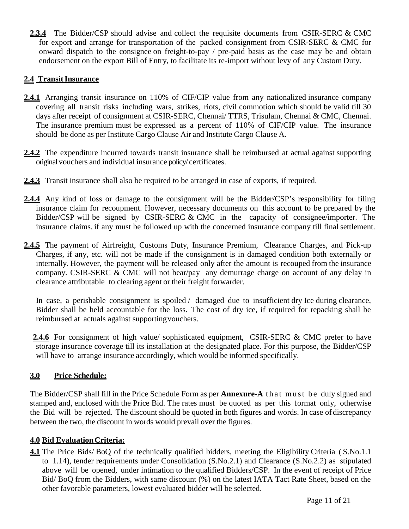**2.3.4** The Bidder/CSP should advise and collect the requisite documents from CSIR-SERC & CMC for export and arrange for transportation of the packed consignment from CSIR-SERC & CMC for onward dispatch to the consignee on freight-to-pay / pre-paid basis as the case may be and obtain endorsement on the export Bill of Entry, to facilitate its re-import without levy of any Custom Duty.

#### **2.4 TransitInsurance**

- 2.4.1 Arranging transit insurance on 110% of CIF/CIP value from any nationalized insurance company covering all transit risks including wars, strikes, riots, civil commotion which should be valid till 30 days after receipt of consignment at CSIR-SERC, Chennai/ TTRS, Trisulam, Chennai & CMC, Chennai. The insurance premium must be expressed as a percent of 110% of CIF/CIP value. The insurance should be done as per Institute Cargo Clause Air and Institute Cargo Clause A.
- **2.4.2** The expenditure incurred towards transit insurance shall be reimbursed at actual against supporting original vouchers and individual insurance policy/ certificates.
- **2.4.3** Transit insurance shall also be required to be arranged in case of exports, if required.
- **2.4.4** Any kind of loss or damage to the consignment will be the Bidder/CSP's responsibility for filing insurance claim for recoupment. However, necessary documents on this account to be prepared by the Bidder/CSP will be signed by CSIR-SERC & CMC in the capacity of consignee/importer. The insurance claims, if any must be followed up with the concerned insurance company till final settlement.
- **2.4.5** The payment of Airfreight, Customs Duty, Insurance Premium, Clearance Charges, and Pick-up Charges, if any, etc. will not be made if the consignment is in damaged condition both externally or internally. However, the payment will be released only after the amount is recouped from the insurance company. CSIR-SERC & CMC will not bear/pay any demurrage charge on account of any delay in clearance attributable to clearing agent or their freight forwarder.

In case, a perishable consignment is spoiled / damaged due to insufficient dry Ice during clearance, Bidder shall be held accountable for the loss. The cost of dry ice, if required for repacking shall be reimbursed at actuals against supportingvouchers.

**2.4.6** For consignment of high value/ sophisticated equipment, CSIR-SERC & CMC prefer to have storage insurance coverage till its installation at the designated place. For this purpose, the Bidder/CSP will have to arrange insurance accordingly, which would be informed specifically.

#### **3.0 Price Schedule:**

The Bidder/CSP shall fill in the Price Schedule Form as per **Annexure-A** that must be duly signed and stamped and, enclosed with the Price Bid. The rates must be quoted as per this format only, otherwise the Bid will be rejected. The discount should be quoted in both figures and words. In case of discrepancy between the two, the discount in words would prevail over the figures.

#### **4.0 Bid EvaluationCriteria:**

**4.1** The Price Bids/ BoQ of the technically qualified bidders, meeting the Eligibility Criteria ( S.No.1.1 to 1.14), tender requirements under Consolidation (S.No.2.1) and Clearance (S.No.2.2) as stipulated above will be opened, under intimation to the qualified Bidders/CSP. In the event of receipt of Price Bid/ BoQ from the Bidders, with same discount (%) on the latest IATA Tact Rate Sheet, based on the other favorable parameters, lowest evaluated bidder will be selected.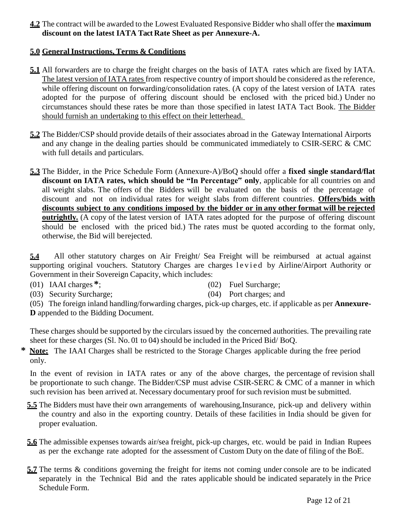**4.2** The contract will be awarded to the Lowest Evaluated Responsive Bidder who shall offer the **maximum discount on the latest IATA Tact Rate Sheet as per Annexure-A.**

#### **5.0 GeneralInstructions, Terms & Conditions**

- **5.1** All forwarders are to charge the freight charges on the basis of IATA rates which are fixed by IATA. The latest version of IATA rates from respective country of import should be considered as the reference, while offering discount on forwarding/consolidation rates. (A copy of the latest version of IATA rates adopted for the purpose of offering discount should be enclosed with the priced bid.) Under no circumstances should these rates be more than those specified in latest IATA Tact Book. The Bidder should furnish an undertaking to this effect on their letterhead.
- **5.2** The Bidder/CSP should provide details of their associates abroad in the Gateway International Airports and any change in the dealing parties should be communicated immediately to CSIR-SERC & CMC with full details and particulars.
- **5.3** The Bidder, in the Price Schedule Form (Annexure-A)/BoQ should offer a **fixed single standard/flat discount on IATA rates, which should be "In Percentage" only**, applicable for all countries on and all weight slabs. The offers of the Bidders will be evaluated on the basis of the percentage of discount and not on individual rates for weight slabs from different countries. **Offers/bids with discounts subject to any conditions imposed by the bidder or in any other format will be rejected outrightly***.* (A copy of the latest version of IATA rates adopted for the purpose of offering discount should be enclosed with the priced bid.) The rates must be quoted according to the format only, otherwise, the Bid will berejected.

**5.4** All other statutory charges on Air Freight/ Sea Freight will be reimbursed at actual against supporting original vouchers. Statutory Charges are charges levied by Airline/Airport Authority or Government in their Sovereign Capacity, which includes:

- (01) IAAI charges **\***; (02) Fuel Surcharge;
	-

(03) Security Surcharge; (04) Port charges; and (05) The foreign inland handling/forwarding charges, pick-up charges, etc. if applicable as per **Annexure-D** appended to the Bidding Document.

These charges should be supported by the circulars issued by the concerned authorities. The prevailing rate sheet for these charges (Sl. No. 01 to 04) should be included in the Priced Bid/ BoQ.

**\* Note:** The IAAI Charges shall be restricted to the Storage Charges applicable during the free period only.

In the event of revision in IATA rates or any of the above charges, the percentage of revision shall be proportionate to such change. The Bidder/CSP must advise CSIR-SERC & CMC of a manner in which such revision has been arrived at. Necessary documentary proof for such revision must be submitted.

- **5.5** The Bidders must have their own arrangements of warehousing,Insurance, pick-up and delivery within the country and also in the exporting country. Details of these facilities in India should be given for proper evaluation.
- **5.6** The admissible expenses towards air/sea freight, pick-up charges, etc. would be paid in Indian Rupees as per the exchange rate adopted for the assessment of Custom Duty on the date of filing of the BoE.
- **5.7** The terms & conditions governing the freight for items not coming under console are to be indicated separately in the Technical Bid and the rates applicable should be indicated separately in the Price Schedule Form.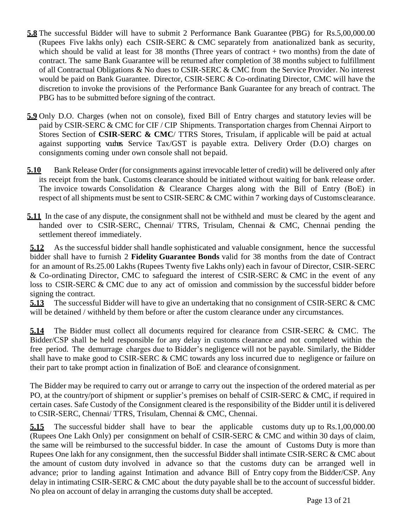- **5.8** The successful Bidder will have to submit 2 Performance Bank Guarantee (PBG) for Rs.5,00,000.00 (Rupees Five lakhs only) each CSIR-SERC  $& CMC$  separately from anationalized bank as security, which should be valid at least for 38 months (Three years of contract  $+$  two months) from the date of contract. The same Bank Guarantee will be returned after completion of 38 months subject to fulfillment of all Contractual Obligations & No dues to CSIR-SERC & CMC from the Service Provider. No interest would be paid on Bank Guarantee. Director, CSIR-SERC & Co-ordinating Director, CMC will have the discretion to invoke the provisions of the Performance Bank Guarantee for any breach of contract. The PBG has to be submitted before signing of the contract.
- 5.9 Only D.O. Charges (when not on console), fixed Bill of Entry charges and statutory levies will be paid by CSIR-SERC & CMC for CIF / CIP Shipments. Transportation charges from Chennai Airport to Stores Section of **CSIR-SERC & CMC**/ TTRS Stores, Trisulam, if applicable will be paid at actual against supporting vortus Service Tax/GST is payable extra. Delivery Order (D.O) charges on consignments coming under own console shall not bepaid.
- **5.10** Bank Release Order (for consignments against irrevocable letter of credit) will be delivered only after its receipt from the bank. Customs clearance should be initiated without waiting for bank release order. The invoice towards Consolidation & Clearance Charges along with the Bill of Entry (BoE) in respect of all shipments must be sent to CSIR-SERC & CMC within 7 working days of Customs clearance.
- **5.11** In the case of any dispute, the consignment shall not be withheld and must be cleared by the agent and handed over to CSIR-SERC, Chennai/ TTRS, Trisulam, Chennai & CMC, Chennai pending the settlement thereof immediately.

**5.12** As the successful bidder shall handle sophisticated and valuable consignment, hence the successful bidder shall have to furnish 2 **Fidelity Guarantee Bonds** valid for 38 months from the date of Contract for an amount of Rs.25.00 Lakhs (Rupees Twenty five Lakhs only) each in favour of Director, CSIR-SERC & Co-ordinating Director, CMC to safeguard the interest of CSIR-SERC & CMC in the event of any loss to CSIR-SERC & CMC due to any act of omission and commission by the successful bidder before signing the contract.

**5.13** The successful Bidder will have to give an undertaking that no consignment of CSIR-SERC & CMC will be detained / withheld by them before or after the custom clearance under any circumstances.

**5.14** The Bidder must collect all documents required for clearance from CSIR-SERC & CMC. The Bidder/CSP shall be held responsible for any delay in customs clearance and not completed within the free period. The demurrage charges due to Bidder's negligence will not be payable. Similarly, the Bidder shall have to make good to CSIR-SERC  $&$  CMC towards any loss incurred due to negligence or failure on their part to take prompt action in finalization of BoE and clearance of consignment.

The Bidder may be required to carry out or arrange to carry out the inspection of the ordered material as per PO, at the country/port of shipment or supplier's premises on behalf of CSIR-SERC & CMC, if required in certain cases. Safe Custody of the Consignment cleared is the responsibility of the Bidder until it is delivered to CSIR-SERC, Chennai/ TTRS, Trisulam, Chennai & CMC, Chennai.

**5.15** The successful bidder shall have to bear the applicable customs duty up to Rs.1,00,000.00 (Rupees One Lakh Only) per consignment on behalf of CSIR-SERC & CMC and within 30 days of claim, the same will be reimbursed to the successful bidder. In case the amount of Customs Duty is more than Rupees One lakh for any consignment, then the successful Bidder shall intimate CSIR-SERC & CMC about the amount of custom duty involved in advance so that the customs duty can be arranged well in advance; prior to landing against Intimation and advance Bill of Entry copy from the Bidder/CSP. Any delay in intimating CSIR-SERC & CMC about the duty payable shall be to the account of successful bidder. No plea on account of delay in arranging the customs duty shall be accepted.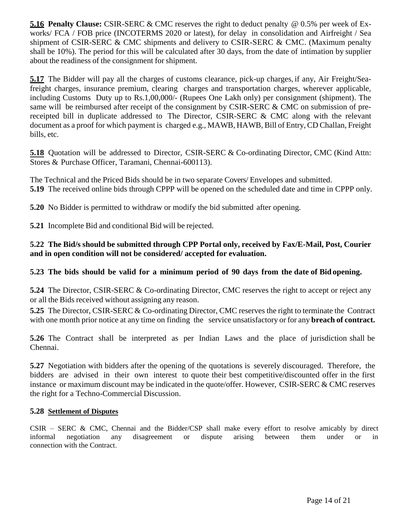**5.16 Penalty Clause:** CSIR-SERC & CMC reserves the right to deduct penalty @ 0.5% per week of Exworks/ FCA / FOB price (INCOTERMS 2020 or latest), for delay in consolidation and Airfreight / Sea shipment of CSIR-SERC  $\&$  CMC shipments and delivery to CSIR-SERC  $\&$  CMC. (Maximum penalty shall be 10%). The period for this will be calculated after 30 days, from the date of intimation by supplier about the readiness of the consignment for shipment.

**5.17** The Bidder will pay all the charges of customs clearance, pick-up charges, if any, Air Freight/Seafreight charges, insurance premium, clearing charges and transportation charges, wherever applicable, including Customs Duty up to Rs.1,00,000/- (Rupees One Lakh only) per consignment (shipment). The same will be reimbursed after receipt of the consignment by CSIR-SERC & CMC on submission of prereceipted bill in duplicate addressed to The Director, CSIR-SERC & CMC along with the relevant document as a proof for which payment is charged e.g., MAWB, HAWB, Bill of Entry, CD Challan, Freight bills, etc.

**5.18** Quotation will be addressed to Director, CSIR-SERC & Co-ordinating Director, CMC (Kind Attn: Stores & Purchase Officer, Taramani, Chennai-600113).

The Technical and the Priced Bids should be in two separate Covers/ Envelopes and submitted. **5.19** The received online bids through CPPP will be opened on the scheduled date and time in CPPP only.

**5.20** No Bidder is permitted to withdraw or modify the bid submitted after opening.

**5.21** Incomplete Bid and conditional Bid will be rejected.

#### **5.22 The Bid/s should be submitted through CPP Portal only, received by Fax/E-Mail, Post, Courier and in open condition will not be considered/ accepted for evaluation.**

#### **5.23 The bids should be valid for a minimum period of 90 days from the date of Bid opening.**

**5.24** The Director, CSIR-SERC & Co-ordinating Director, CMC reserves the right to accept or reject any or all the Bids received without assigning any reason.

**5.25** The Director, CSIR-SERC & Co-ordinating Director, CMC reserves the right to terminate the Contract with one month prior notice at any time on finding the service unsatisfactory or for any **breach of contract.**

**5.26** The Contract shall be interpreted as per Indian Laws and the place of jurisdiction shall be Chennai.

**5.27** Negotiation with bidders after the opening of the quotations is severely discouraged. Therefore, the bidders are advised in their own interest to quote their best competitive/discounted offer in the first instance or maximum discount may be indicated in the quote/offer. However, CSIR-SERC & CMC reserves the right for a Techno-Commercial Discussion.

#### **5.28 Settlement of Disputes**

CSIR – SERC & CMC, Chennai and the Bidder/CSP shall make every effort to resolve amicably by direct informal negotiation any disagreement or dispute arising between them under or in connection with the Contract.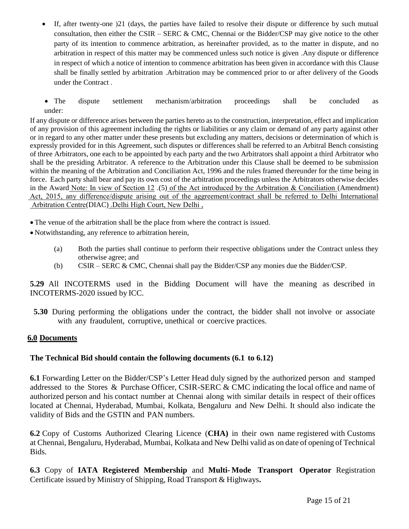- If, after twenty-one  $)21$  (days, the parties have failed to resolve their dispute or difference by such mutual consultation, then either the CSIR – SERC & CMC, Chennai or the Bidder/CSP may give notice to the other party of its intention to commence arbitration, as hereinafter provided, as to the matter in dispute, and no arbitration in respect of this matter may be commenced unless such notice is given .Any dispute or difference in respect of which a notice of intention to commence arbitration has been given in accordance with this Clause shall be finally settled by arbitration .Arbitration may be commenced prior to or after delivery of the Goods under the Contract .
- The dispute settlement mechanism/arbitration proceedings shall be concluded as under:

If any dispute or difference arises between the parties hereto as to the construction, interpretation, effect and implication of any provision of this agreement including the rights or liabilities or any claim or demand of any party against other or in regard to any other matter under these presents but excluding any matters, decisions or determination of which is expressly provided for in this Agreement, such disputes or differences shall be referred to an Arbitral Bench consisting of three Arbitrators, one each to be appointed by each party and the two Arbitrators shall appoint a third Arbitrator who shall be the presiding Arbitrator. A reference to the Arbitration under this Clause shall be deemed to be submission within the meaning of the Arbitration and Conciliation Act, 1996 and the rules framed thereunder for the time being in force. Each party shall bear and pay its own cost of the arbitration proceedings unless the Arbitrators otherwise decides in the Award Note: In view of Section 12 .(5) of the Act introduced by the Arbitration & Conciliation (Amendment) Act, 2015, any difference/dispute arising out of the aggreement/contract shall be referred to Delhi International Arbitration Centre(DIAC) .Delhi High Court, New Delhi ,

- The venue of the arbitration shall be the place from where the contract is issued.
- Notwithstanding, any reference to arbitration herein,
	- (a) Both the parties shall continue to perform their respective obligations under the Contract unless they otherwise agree; and
	- (b) CSIR SERC & CMC, Chennai shall pay the Bidder/CSP any monies due the Bidder/CSP.

**5.29** All INCOTERMS used in the Bidding Document will have the meaning as described in INCOTERMS-2020 issued by ICC.

**5.30** During performing the obligations under the contract, the bidder shall not involve or associate with any fraudulent, corruptive, unethical or coercive practices.

#### **6.0 Documents**

#### **The Technical Bid should contain the following documents (6.1 to 6.12)**

**6.1** Forwarding Letter on the Bidder/CSP's Letter Head duly signed by the authorized person and stamped addressed to the Stores & Purchase Officer, CSIR-SERC & CMC indicating the local office and name of authorized person and his contact number at Chennai along with similar details in respect of their offices located at Chennai, Hyderabad, Mumbai, Kolkata, Bengaluru and New Delhi. It should also indicate the validity of Bids and the GSTIN and PAN numbers.

**6.2** Copy of Customs Authorized Clearing Licence (**CHA)** in their own name registered with Customs at Chennai, Bengaluru, Hyderabad, Mumbai, Kolkata and New Delhi valid as on date of opening of Technical Bids.

**6.3** Copy of **IATA Registered Membership** and **Multi- Mode Transport Operator** Registration Certificate issued by Ministry of Shipping, Road Transport & Highways**.**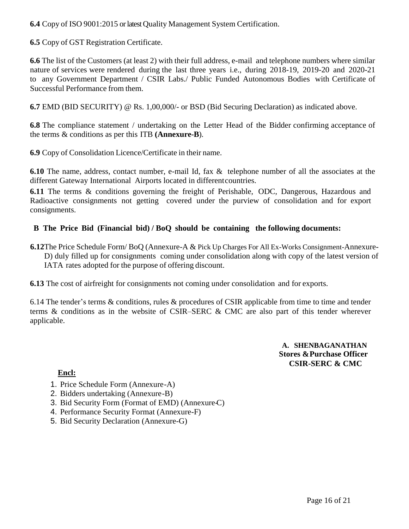**6.4** Copy of ISO 9001:2015 or latest Quality Management System Certification.

**6.5** Copy of GST Registration Certificate.

**6.6** The list of the Customers (at least 2) with their full address, e-mail and telephone numbers where similar nature of services were rendered during the last three years i.e., during 2018-19, 2019-20 and 2020-21 to any Government Department / CSIR Labs./ Public Funded Autonomous Bodies with Certificate of Successful Performance from them.

**6.7** EMD (BID SECURITY) @ Rs. 1,00,000/- or BSD (Bid Securing Declaration) as indicated above.

**6.8** The compliance statement / undertaking on the Letter Head of the Bidder confirming acceptance of the terms & conditions as per this ITB **(Annexure-B**).

**6.9** Copy of Consolidation Licence/Certificate in their name.

**6.10** The name, address, contact number, e-mail Id, fax & telephone number of all the associates at the different Gateway International Airports located in differentcountries.

**6.11** The terms & conditions governing the freight of Perishable, ODC, Dangerous, Hazardous and Radioactive consignments not getting covered under the purview of consolidation and for export consignments.

#### **B The Price Bid (Financial bid) / BoQ should be containing the following documents:**

**6.12**The Price Schedule Form/ BoQ (Annexure-A & Pick Up Charges For All Ex-Works Consignment-Annexure-D) duly filled up for consignments coming under consolidation along with copy of the latest version of IATA rates adopted for the purpose of offering discount.

**6.13** The cost of airfreight for consignments not coming under consolidation and for exports.

6.14 The tender's terms & conditions, rules & procedures of CSIR applicable from time to time and tender terms & conditions as in the website of CSIR–SERC & CMC are also part of this tender wherever applicable.

> **A. SHENBAGANATHAN Stores &Purchase Officer CSIR-SERC & CMC**

#### **Encl:**

- 1. Price Schedule Form (Annexure-A)
- 2. Bidders undertaking (Annexure-B)
- 3. Bid Security Form (Format of EMD) (Annexure-C)
- 4. Performance Security Format (Annexure-F)
- 5. Bid Security Declaration (Annexure-G)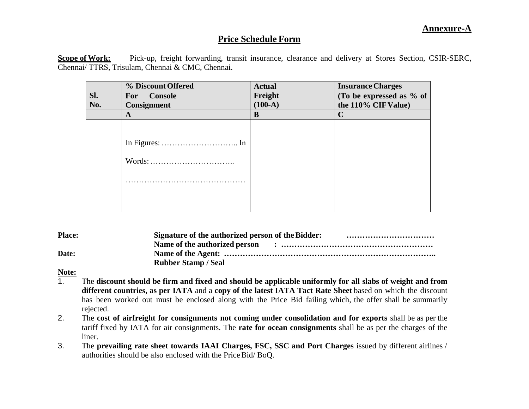#### **Annexure-A**

#### **Price Schedule Form**

**Scope of Work:** Pick-up, freight forwarding, transit insurance, clearance and delivery at Stores Section, CSIR-SERC, Chennai/ TTRS, Trisulam, Chennai & CMC, Chennai.

|     | % Discount Offered | <b>Actual</b> | <b>Insurance Charges</b> |
|-----|--------------------|---------------|--------------------------|
| Sl. | For Console        | Freight       | (To be expressed as % of |
| No. | Consignment        | $(100-A)$     | the 110% CIF Value)      |
|     | A                  | B             | $\mathbf C$              |
|     |                    |               |                          |
|     |                    |               |                          |
|     |                    |               |                          |
|     |                    |               |                          |
|     |                    |               |                          |
|     |                    |               |                          |
|     |                    |               |                          |
|     |                    |               |                          |
|     |                    |               |                          |
|     |                    |               |                          |

| <b>Place:</b> | Signature of the authorized person of the Bidder: |  |  |  |
|---------------|---------------------------------------------------|--|--|--|
|               |                                                   |  |  |  |
| Date:         |                                                   |  |  |  |
|               | <b>Rubber Stamp / Seal</b>                        |  |  |  |

**Note:**

- 1. The **discount should be firm and fixed and should be applicable uniformly for all slabs of weight and from different countries, as per IATA** and a **copy of the latest IATA Tact Rate Sheet** based on which the discount has been worked out must be enclosed along with the Price Bid failing which, the offer shall be summarily rejected.
- 2. The **cost of airfreight for consignments not coming under consolidation and for exports** shall be as per the tariff fixed by IATA for air consignments. The **rate for ocean consignments** shall be as per the charges of the liner.
- 3. The **prevailing rate sheet towards IAAI Charges, FSC, SSC and Port Charges** issued by different airlines / authorities should be also enclosed with the PriceBid/ BoQ.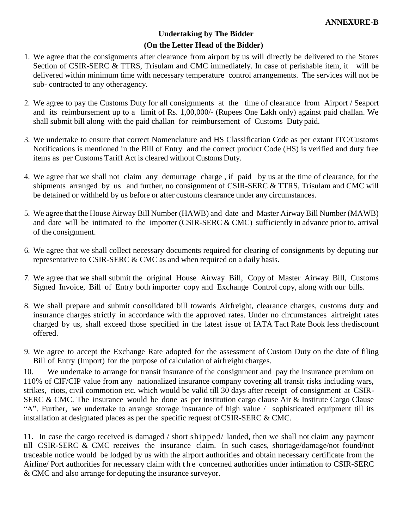#### **Undertaking by The Bidder (On the Letter Head of the Bidder)**

- 1. We agree that the consignments after clearance from airport by us will directly be delivered to the Stores Section of CSIR-SERC & TTRS, Trisulam and CMC immediately. In case of perishable item, it will be delivered within minimum time with necessary temperature control arrangements. The services will not be sub- contracted to any otheragency.
- 2. We agree to pay the Customs Duty for all consignments at the time of clearance from Airport / Seaport and its reimbursement up to a limit of Rs. 1,00,000/- (Rupees One Lakh only) against paid challan. We shall submit bill along with the paid challan for reimbursement of Customs Duty paid.
- 3. We undertake to ensure that correct Nomenclature and HS Classification Code as per extant ITC/Customs Notifications is mentioned in the Bill of Entry and the correct product Code (HS) is verified and duty free items as per Customs Tariff Act is cleared without Customs Duty.
- 4. We agree that we shall not claim any demurrage charge , if paid by us at the time of clearance, for the shipments arranged by us and further, no consignment of CSIR-SERC & TTRS, Trisulam and CMC will be detained or withheld by us before or after customs clearance under any circumstances.
- 5. We agree that the House Airway Bill Number (HAWB) and date and Master Airway Bill Number (MAWB) and date will be intimated to the importer (CSIR-SERC & CMC) sufficiently in advance prior to, arrival of the consignment.
- 6. We agree that we shall collect necessary documents required for clearing of consignments by deputing our representative to CSIR-SERC & CMC as and when required on a daily basis.
- 7. We agree that we shall submit the original House Airway Bill, Copy of Master Airway Bill, Customs Signed Invoice, Bill of Entry both importer copy and Exchange Control copy, along with our bills.
- 8. We shall prepare and submit consolidated bill towards Airfreight, clearance charges, customs duty and insurance charges strictly in accordance with the approved rates. Under no circumstances airfreight rates charged by us, shall exceed those specified in the latest issue of IATA Tact Rate Book less thediscount offered.
- 9. We agree to accept the Exchange Rate adopted for the assessment of Custom Duty on the date of filing Bill of Entry (Import) for the purpose of calculation of airfreight charges.

10. We undertake to arrange for transit insurance of the consignment and pay the insurance premium on 110% of CIF/CIP value from any nationalized insurance company covering all transit risks including wars, strikes, riots, civil commotion etc. which would be valid till 30 days after receipt of consignment at CSIR-SERC & CMC. The insurance would be done as per institution cargo clause Air & Institute Cargo Clause "A". Further, we undertake to arrange storage insurance of high value / sophisticated equipment till its installation at designated places as per the specific request ofCSIR-SERC & CMC.

11. In case the cargo received is damaged / short shipped/ landed, then we shall not claim any payment till CSIR-SERC & CMC receives the insurance claim. In such cases, shortage/damage/not found/not traceable notice would be lodged by us with the airport authorities and obtain necessary certificate from the Airline/ Port authorities for necessary claim with the concerned authorities under intimation to CSIR-SERC & CMC and also arrange for deputing the insurance surveyor.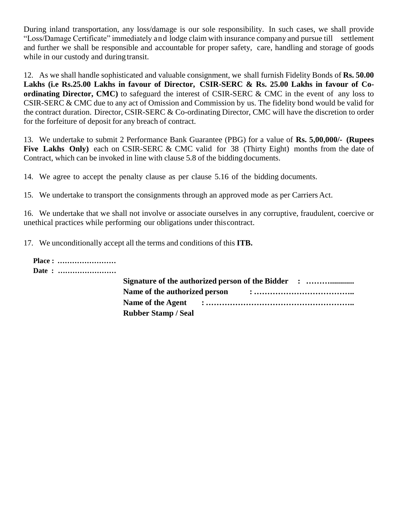During inland transportation, any loss/damage is our sole responsibility. In such cases, we shall provide "Loss/Damage Certificate" immediately and lodge claim with insurance company and pursue till settlement and further we shall be responsible and accountable for proper safety, care, handling and storage of goods while in our custody and during transit.

12. As we shall handle sophisticated and valuable consignment, we shall furnish Fidelity Bonds of **Rs. 50.00 Lakhs (i.e Rs.25.00 Lakhs in favour of Director, CSIR-SERC & Rs. 25.00 Lakhs in favour of Coordinating Director, CMC)** to safeguard the interest of CSIR-SERC & CMC in the event of any loss to CSIR-SERC & CMC due to any act of Omission and Commission by us. The fidelity bond would be valid for the contract duration. Director, CSIR-SERC & Co-ordinating Director, CMC will have the discretion to order for the forfeiture of deposit for any breach of contract.

13. We undertake to submit 2 Performance Bank Guarantee (PBG) for a value of **Rs. 5,00,000/- (Rupees Five Lakhs Only)** each on CSIR-SERC & CMC valid for 38 (Thirty Eight) months from the date of Contract, which can be invoked in line with clause 5.8 of the bidding documents.

14. We agree to accept the penalty clause as per clause 5.16 of the bidding documents.

15. We undertake to transport the consignments through an approved mode as per Carriers Act.

16. We undertake that we shall not involve or associate ourselves in any corruptive, fraudulent, coercive or unethical practices while performing our obligations under thiscontract.

17. We unconditionally accept all the terms and conditions of this **ITB.**

|  | Place : |  |
|--|---------|--|
|  | Date:   |  |

| <b>Rubber Stamp / Seal</b> |  |  |  |  |  |  |
|----------------------------|--|--|--|--|--|--|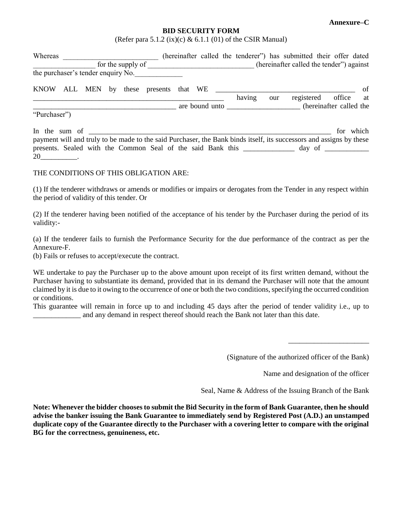#### **Annexure–C**

#### **BID SECURITY FORM**

(Refer para 5.1.2 (ix)(c)  $\&$  6.1.1 (01) of the CSIR Manual)

| Whereas                            |  |  |                                        |  |        |     | (hereinafter called the tenderer") has submitted their offer dated                                                  |                   |       |
|------------------------------------|--|--|----------------------------------------|--|--------|-----|---------------------------------------------------------------------------------------------------------------------|-------------------|-------|
|                                    |  |  |                                        |  |        |     | (hereinafter called the tender") against                                                                            |                   |       |
| the purchaser's tender enquiry No. |  |  |                                        |  |        |     |                                                                                                                     |                   |       |
|                                    |  |  | KNOW ALL MEN by these presents that WE |  |        |     |                                                                                                                     |                   | of    |
|                                    |  |  |                                        |  | having | our |                                                                                                                     | registered office | at    |
|                                    |  |  |                                        |  |        |     | are bound unto ________________________(hereinafter called the                                                      |                   |       |
| "Purchaser")                       |  |  |                                        |  |        |     |                                                                                                                     |                   |       |
|                                    |  |  |                                        |  |        |     |                                                                                                                     | for               | which |
|                                    |  |  |                                        |  |        |     | payment will and truly to be made to the said Purchaser, the Bank binds itself, its successors and assigns by these |                   |       |
|                                    |  |  |                                        |  |        |     | presents. Sealed with the Common Seal of the said Bank this ______________ day of _________________                 |                   |       |
| $20$ <sub>_____________</sub> .    |  |  |                                        |  |        |     |                                                                                                                     |                   |       |

#### THE CONDITIONS OF THIS OBLIGATION ARE:

(1) If the tenderer withdraws or amends or modifies or impairs or derogates from the Tender in any respect within the period of validity of this tender. Or

(2) If the tenderer having been notified of the acceptance of his tender by the Purchaser during the period of its validity:-

(a) If the tenderer fails to furnish the Performance Security for the due performance of the contract as per the Annexure-F.

(b) Fails or refuses to accept/execute the contract.

WE undertake to pay the Purchaser up to the above amount upon receipt of its first written demand, without the Purchaser having to substantiate its demand, provided that in its demand the Purchaser will note that the amount claimed by it is due to it owing to the occurrence of one or both the two conditions, specifying the occurred condition or conditions.

This guarantee will remain in force up to and including 45 days after the period of tender validity i.e., up to and any demand in respect thereof should reach the Bank not later than this date.

(Signature of the authorized officer of the Bank)

Name and designation of the officer

\_\_\_\_\_\_\_\_\_\_\_\_\_\_\_\_\_\_\_\_\_\_

Seal, Name & Address of the Issuing Branch of the Bank

**Note: Whenever the bidder chooses to submit the Bid Security in the form of Bank Guarantee, then he should advise the banker issuing the Bank Guarantee to immediately send by Registered Post (A.D.) an unstamped duplicate copy of the Guarantee directly to the Purchaser with a covering letter to compare with the original BG for the correctness, genuineness, etc.**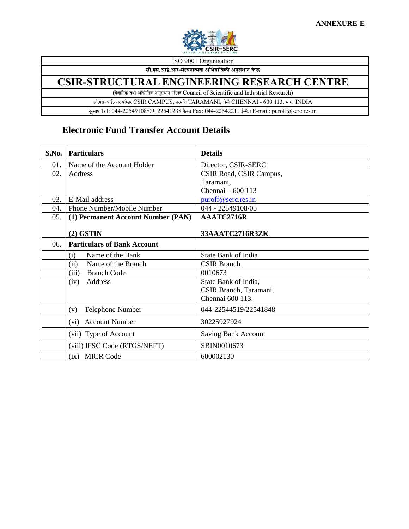

ISO 9001 Organisation

**सी.एस.आई.आर-संरचनात्मक अभियांभिकी अनुसंधान के न्द्र**

## **CSIR-STRUCTURAL ENGINEERING RESEARCH CENTRE**

(वैज्ञानिक तथा औद्योगिक अनुसंधान परिषद Council of Scientific and Industrial Research)

सी.एस.आई.आर परिसर CSIR CAMPUS, तरमणि TARAMANI, चेन्नै CHENNAI - 600 113. भारत INDIA

द्ग्भाष Tel: 044-22549108/09, 22541238 फैक्स Fax: 044-22542211 ई-मैल E-mail: puroff@serc.res.in

## **Electronic Fund Transfer Account Details**

| S.No. | <b>Particulars</b>                 | <b>Details</b>             |
|-------|------------------------------------|----------------------------|
| 01.   | Name of the Account Holder         | Director, CSIR-SERC        |
| 02.   | Address                            | CSIR Road, CSIR Campus,    |
|       |                                    | Taramani,                  |
|       |                                    | Chennai - 600 113          |
| 03.   | E-Mail address                     | puroff@serc.res.in         |
| 04.   | Phone Number/Mobile Number         | 044 - 22549108/05          |
| 05.   | (1) Permanent Account Number (PAN) | AAATC2716R                 |
|       |                                    |                            |
|       | $(2)$ GSTIN                        | 33AAATC2716R3ZK            |
| 06.   | <b>Particulars of Bank Account</b> |                            |
|       | Name of the Bank<br>(i)            | State Bank of India        |
|       | (ii)<br>Name of the Branch         | <b>CSIR Branch</b>         |
|       | <b>Branch Code</b><br>(iii)        | 0010673                    |
|       | Address<br>(iv)                    | State Bank of India,       |
|       |                                    | CSIR Branch, Taramani,     |
|       |                                    | Chennai 600 113.           |
|       | Telephone Number<br>(v)            | 044-22544519/22541848      |
|       | <b>Account Number</b><br>(vi)      | 30225927924                |
|       | (vii) Type of Account              | <b>Saving Bank Account</b> |
|       | (viii) IFSC Code (RTGS/NEFT)       | SBIN0010673                |
|       | <b>MICR Code</b><br>(ix)           | 600002130                  |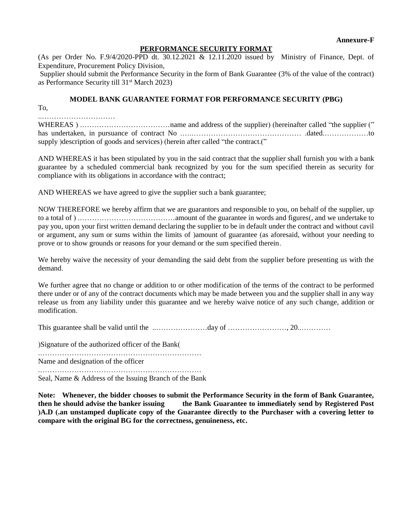**Annexure-F**

#### **PERFORMANCE SECURITY FORMAT**

(As per Order No. F.9/4/2020-PPD dt. 30.12.2021 & 12.11.2020 issued by Ministry of Finance, Dept. of Expenditure, Procurement Policy Division,

Supplier should submit the Performance Security in the form of Bank Guarantee (3% of the value of the contract) as Performance Security till 31st March 2023)

#### **MODEL BANK GUARANTEE FORMAT FOR PERFORMANCE SECURITY (PBG)**

To,

……………………………………

WHEREAS ( .………………………………name and address of the supplier( )hereinafter called "the supplier )" has undertaken, in pursuance of contract No .….……………………………………… .dated.………………to supply (description of goods and services) (herein after called "the contract."

AND WHEREAS it has been stipulated by you in the said contract that the supplier shall furnish you with a bank guarantee by a scheduled commercial bank recognized by you for the sum specified therein as security for compliance with its obligations in accordance with the contract;

AND WHEREAS we have agreed to give the supplier such a bank guarantee;

NOW THEREFORE we hereby affirm that we are guarantors and responsible to you, on behalf of the supplier, up to a total of ( .…………………………………amount of the guarantee in words and figures), and we undertake to pay you, upon your first written demand declaring the supplier to be in default under the contract and without cavil or argument, any sum or sums within the limits of )amount of guarantee (as aforesaid, without your needing to prove or to show grounds or reasons for your demand or the sum specified therein.

We hereby waive the necessity of your demanding the said debt from the supplier before presenting us with the demand.

We further agree that no change or addition to or other modification of the terms of the contract to be performed there under or of any of the contract documents which may be made between you and the supplier shall in any way release us from any liability under this guarantee and we hereby waive notice of any such change, addition or modification.

This guarantee shall be valid until the ..…………………day of ……………………, 20..…………

(Signature of the authorized officer of the Bank)

.…………………………………………………………

Name and designation of the officer

.………………………………………………………… Seal, Name & Address of the Issuing Branch of the Bank

**Note: Whenever, the bidder chooses to submit the Performance Security in the form of Bank Guarantee,** 

**then he should advise the banker issuing the Bank Guarantee to immediately send by Registered Post (A.D ).an unstamped duplicate copy of the Guarantee directly to the Purchaser with a covering letter to compare with the original BG for the correctness, genuineness, etc.**